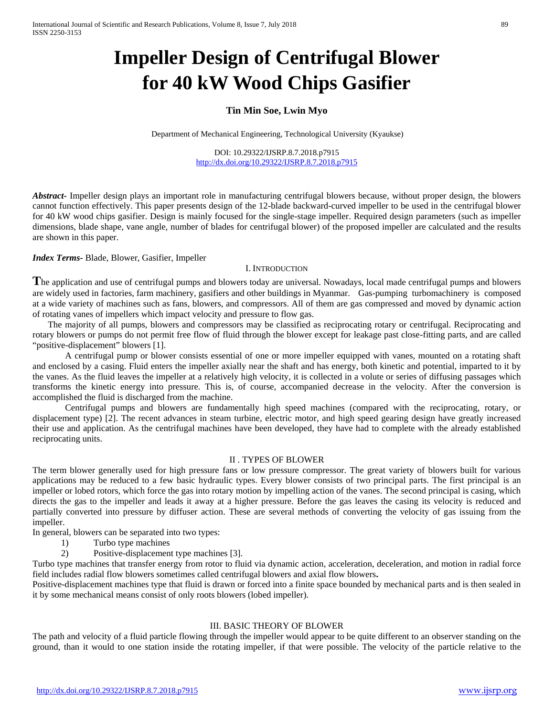# **Impeller Design of Centrifugal Blower for 40 kW Wood Chips Gasifier**

## **Tin Min Soe, Lwin Myo**

Department of Mechanical Engineering, Technological University (Kyaukse)

DOI: 10.29322/IJSRP.8.7.2018.p7915 <http://dx.doi.org/10.29322/IJSRP.8.7.2018.p7915>

*Abstract***-** Impeller design plays an important role in manufacturing centrifugal blowers because, without proper design, the blowers cannot function effectively. This paper presents design of the 12-blade backward-curved impeller to be used in the centrifugal blower for 40 kW wood chips gasifier. Design is mainly focused for the single-stage impeller. Required design parameters (such as impeller dimensions, blade shape, vane angle, number of blades for centrifugal blower) of the proposed impeller are calculated and the results are shown in this paper.

*Index Terms-* Blade, Blower, Gasifier, Impeller

#### I. INTRODUCTION

**T**he application and use of centrifugal pumps and blowers today are universal. Nowadays, local made centrifugal pumps and blowers are widely used in factories, farm machinery, gasifiers and other buildings in Myanmar. Gas-pumping turbomachinery is composed at a wide variety of machines such as fans, blowers, and compressors. All of them are gas compressed and moved by dynamic action of rotating vanes of impellers which impact velocity and pressure to flow gas.

The majority of all pumps, blowers and compressors may be classified as reciprocating rotary or centrifugal. Reciprocating and rotary blowers or pumps do not permit free flow of fluid through the blower except for leakage past close-fitting parts, and are called "positive-displacement" blowers [1].

A centrifugal pump or blower consists essential of one or more impeller equipped with vanes, mounted on a rotating shaft and enclosed by a casing. Fluid enters the impeller axially near the shaft and has energy, both kinetic and potential, imparted to it by the vanes. As the fluid leaves the impeller at a relatively high velocity, it is collected in a volute or series of diffusing passages which transforms the kinetic energy into pressure. This is, of course, accompanied decrease in the velocity. After the conversion is accomplished the fluid is discharged from the machine.

Centrifugal pumps and blowers are fundamentally high speed machines (compared with the reciprocating, rotary, or displacement type) [2]. The recent advances in steam turbine, electric motor, and high speed gearing design have greatly increased their use and application. As the centrifugal machines have been developed, they have had to complete with the already established reciprocating units.

#### II . TYPES OF BLOWER

The term blower generally used for high pressure fans or low pressure compressor. The great variety of blowers built for various applications may be reduced to a few basic hydraulic types. Every blower consists of two principal parts. The first principal is an impeller or lobed rotors, which force the gas into rotary motion by impelling action of the vanes. The second principal is casing, which directs the gas to the impeller and leads it away at a higher pressure. Before the gas leaves the casing its velocity is reduced and partially converted into pressure by diffuser action. These are several methods of converting the velocity of gas issuing from the impeller.

In general, blowers can be separated into two types:

- 1) Turbo type machines
- 2) Positive-displacement type machines [3].

Turbo type machines that transfer energy from rotor to fluid via dynamic action, acceleration, deceleration, and motion in radial force field includes radial flow blowers sometimes called centrifugal blowers and axial flow blowers**.**

Positive-displacement machines type that fluid is drawn or forced into a finite space bounded by mechanical parts and is then sealed in it by some mechanical means consist of only roots blowers (lobed impeller).

### III. BASIC THEORY OF BLOWER

The path and velocity of a fluid particle flowing through the impeller would appear to be quite different to an observer standing on the ground, than it would to one station inside the rotating impeller, if that were possible. The velocity of the particle relative to the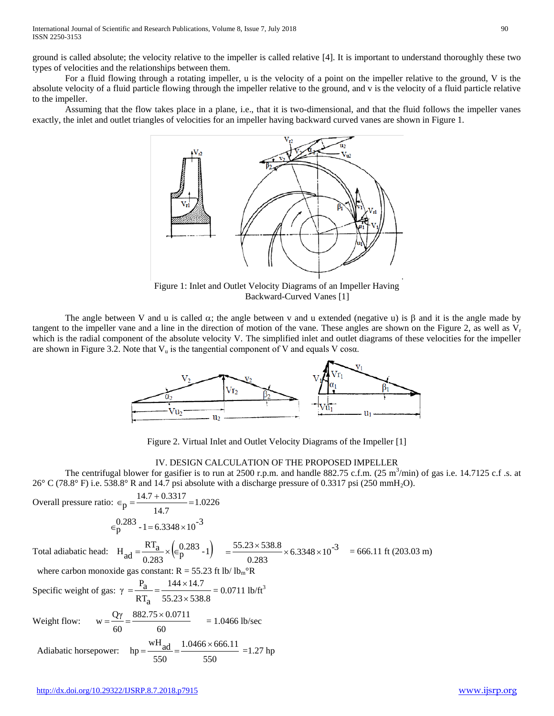ground is called absolute; the velocity relative to the impeller is called relative [4]. It is important to understand thoroughly these two types of velocities and the relationships between them.

For a fluid flowing through a rotating impeller, u is the velocity of a point on the impeller relative to the ground, V is the absolute velocity of a fluid particle flowing through the impeller relative to the ground, and v is the velocity of a fluid particle relative to the impeller.

Assuming that the flow takes place in a plane, i.e., that it is two-dimensional, and that the fluid follows the impeller vanes exactly, the inlet and outlet triangles of velocities for an impeller having backward curved vanes are shown in Figure 1.



Figure 1: Inlet and Outlet Velocity Diagrams of an Impeller Having Backward-Curved Vanes [1]

The angle between V and u is called  $\alpha$ ; the angle between v and u extended (negative u) is  $\beta$  and it is the angle made by tangent to the impeller vane and a line in the direction of motion of the vane. These angles are shown on the Figure 2, as well as  $V_r$ which is the radial component of the absolute velocity V. The simplified inlet and outlet diagrams of these velocities for the impeller are shown in Figure 3.2. Note that  $V_u$  is the tangential component of V and equals V cos $\alpha$ .



Figure 2. Virtual Inlet and Outlet Velocity Diagrams of the Impeller [1]

#### IV. DESIGN CALCULATION OF THE PROPOSED IMPELLER

The centrifugal blower for gasifier is to run at 2500 r.p.m. and handle 882.75 c.f.m.  $(25 \text{ m}^3/\text{min})$  of gas i.e. 14.7125 c.f .s. at 26° C (78.8° F) i.e. 538.8° R and 14.7 psi absolute with a discharge pressure of 0.3317 psi (250 mmH<sub>2</sub>O).

Overall pressure ratio:  $\epsilon_p = \frac{1.0226}{1.0226}$ 14.7  $\epsilon_p = \frac{14.7 + 0.3317}{14.7}$  $\epsilon_p^{0.283}$  - 1 = 6.3348  $\times 10^{-3}$ Total adiabatic head:  $H_{ad} = \frac{RT_a}{T_a} \times (\epsilon_n^{0.283} - 1)$  $\frac{1}{0.283}$   $\times$   $\in$   $p$  $H_{\text{ad}} = \frac{RT_a}{0.283} \times (\epsilon_p^{0.283} - 1) = \frac{55.23 \times 538.8}{0.283} \times 6.3348 \times 10^{-3}$  $=$   $\frac{55.23 \times 538.8}{500}$   $\times$  6.3348  $\times$  10<sup>-3</sup> = 666.11 ft (203.03 m) where carbon monoxide gas constant:  $R = 55.23$  ft lb/lb<sub>m</sub>°R Specific weight of gas:  $55.23 \times 538.8$  $144 \times 14.7$  $RT_a$  $\gamma = \frac{P_a}{RT_a} = \frac{144 \times}{55.23 \times}$  $=\frac{P_a}{r} = \frac{144 \times 14.7}{r} = 0.0711$  lb/ft<sup>3</sup> Weight flow: 60  $882.75 \times 0.0711$ 60  $w = \frac{Q\gamma}{\gamma} = \frac{882.75 \times 0.0711}{\gamma} = 1.0466 \text{ lb/sec}$  Adiabatic horsepower: 550  $1.0466 \times 666.11$ 550 hp =  $\frac{\text{wH}_{\text{ad}}}{\text{m} \cdot \text{m}}$  =  $\frac{1.0466 \times 666.11}{\text{m} \cdot \text{m}}$  = 1.27 hp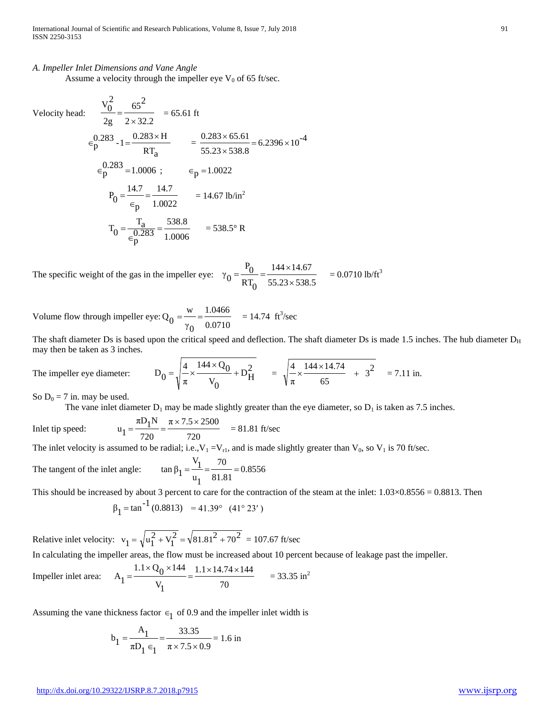#### *A. Impeller Inlet Dimensions and Vane Angle*

Assume a velocity through the impeller eye  $V_0$  of 65 ft/sec.

Velocity head:  $\frac{V_0^2}{V_0^2} = \frac{65^2}{V_0^2}$ 

Velocity head: 
$$
\frac{0}{2g} = \frac{0.283}{2 \times 32.2} = 65.61 \text{ ft}
$$

$$
\frac{0.283}{2g} - 1 = \frac{0.283 \times H}{RT_a} = \frac{0.283 \times 65.61}{55.23 \times 538.8} = 6.2396 \times 10^{-4}
$$

$$
\frac{0.283}{5g} = 1.0006 \text{ ; } \frac{14.7}{2g} = \frac{14.7}{1.0022} = 14.67 \text{ lb/in}^2
$$

$$
T_0 = \frac{T_a}{\frac{0.283}{2g}} = \frac{538.8}{1.0006} = 538.5^\circ \text{ R}
$$

The specific weight of the gas in the impeller eye:  $55.23 \times 538.5$  $144 \times 14.67$  $_{\rm RT_0}$  $P_{0}$  $\gamma_0 = \frac{0}{RT_0} = \frac{1}{55.23 \times}$  $=\frac{P_0}{P_0} = \frac{144 \times 14.67}{P_0} = 0.0710$  lb/ft<sup>3</sup>

Volume flow through impeller eye: 0.0710 1.0466  $\gamma$ <sub>0</sub>  $Q_0 = \frac{w}{v} = \frac{1.0466}{0.0710} = 14.74$  ft<sup>3</sup>/sec

The shaft diameter Ds is based upon the critical speed and deflection. The shaft diameter Ds is made 1.5 inches. The hub diameter D<sub>H</sub> may then be taken as 3 inches.

The impeller eye diameter: 
$$
D_0 = \sqrt{\frac{4}{\pi} \times \frac{144 \times Q_0}{V_0} + D_H^2} = \sqrt{\frac{4}{\pi} \times \frac{144 \times 14.74}{65} + 3^2} = 7.11 \text{ in.}
$$

So  $D_0 = 7$  in. may be used.

The vane inlet diameter  $D_1$  may be made slightly greater than the eye diameter, so  $D_1$  is taken as 7.5 inches.

Inlet tip speed: 720  $\pi$  × 7.5 × 2500 720  $u_1 = {\pi D_1 N \over 720} = {\pi \times 7.5 \times 2500 \over 720}$  = 81.81 ft/sec

The inlet velocity is assumed to be radial; i.e.,  $V_1 = V_{r1}$ , and is made slightly greater than  $V_0$ , so  $V_1$  is 70 ft/sec.

The tangent of the inlet angle: 81.81 70  $\mathfrak{u}_1$  $V_1$  $\tan \beta_1 = \frac{1}{n} = \frac{1}{81.81} =$ 

This should be increased by about 3 percent to care for the contraction of the steam at the inlet:  $1.03 \times 0.8556 = 0.8813$ . Then

$$
\beta_1 = \tan^{-1}(0.8813) = 41.39^{\circ} (41^{\circ} 23')
$$

Relative inlet velocity:  $v_1 = \sqrt{u_1^2 + v_1^2} = \sqrt{81.81^2 + 70^2} = 107.67$  ft/sec

In calculating the impeller areas, the flow must be increased about 10 percent because of leakage past the impeller.

Impeller inlet area: 
$$
A_1 = \frac{1.1 \times Q_0 \times 144}{V_1} = \frac{1.1 \times 14.74 \times 144}{70} = 33.35 \text{ in}^2
$$

Assuming the vane thickness factor  $\epsilon_1$  of 0.9 and the impeller inlet width is

$$
b_1 = \frac{A_1}{\pi D_1 \epsilon_1} = \frac{33.35}{\pi \times 7.5 \times 0.9} = 1.6 \text{ in}
$$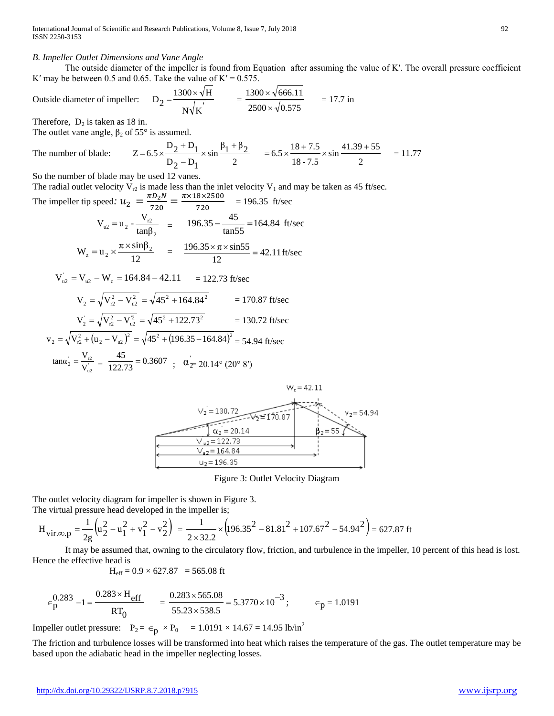#### *B. Impeller Outlet Dimensions and Vane Angle*

The outside diameter of the impeller is found from Equation after assuming the value of K'. The overall pressure coefficient K' may be between 0.5 and 0.65. Take the value of  $K' = 0.575$ .

Outside diameter of impeller: 
$$
D_2 = \frac{1300 \times \sqrt{H}}{N\sqrt{K}} = \frac{1300 \times \sqrt{666.11}}{2500 \times \sqrt{0.575}} = 17.7 \text{ in}
$$

Therefore,  $D_2$  is taken as 18 in.

Th

The outlet vane angle,  $\beta_2$  of 55° is assumed.

e number of blade: 
$$
Z = 6.5 \times \frac{D_2 + D_1}{D_2 - D_1} \times \sin \frac{\beta_1 + \beta_2}{2} = 6.5 \times \frac{18 + 7.5}{18 - 7.5} \times \sin \frac{41.39 + 55}{2} = 11.77
$$

So the number of blade may be used 12 vanes.

The radial outlet velocity  $V_{r2}$  is made less than the inlet velocity  $V_1$  and may be taken as 45 ft/sec.

The impeller tip speed: 
$$
u_2 = \frac{\pi b_2 N}{720} = \frac{\pi \times 18 \times 2500}{720} = 196.35
$$
 ft/sec  
\n
$$
V_{u2} = u_2 - \frac{V_{r2}}{\tan \beta_2} = 196.35 - \frac{45}{\tan 55} = 164.84
$$
 ft/sec  
\n
$$
W_z = u_2 \times \frac{\pi \times \sin \beta_2}{12} = \frac{196.35 \times \pi \times \sin 55}{12} = 42.11
$$
 ft/sec

$$
V_{u2} = V_{u2} - W_z = 164.84 - 42.11 = 122.73 \text{ ft/sec}
$$
  
\n
$$
V_2 = \sqrt{V_{r2}^2 - V_{u2}^2} = \sqrt{45^2 + 164.84^2} = 170.87 \text{ ft/sec}
$$
  
\n
$$
V_2 = \sqrt{V_{r2}^2 - V_{u2}^2} = \sqrt{45^2 + 122.73^2} = 130.72 \text{ ft/sec}
$$
  
\n
$$
V = \sqrt{V_{r2}^2 + (v_1 - V_{u2})^2} = \sqrt{45^2 + 196.35 - 164.84^2} = 130.72 \text{ ft/sec}
$$

$$
v_2 = \sqrt{V_{r2}^2 + (u_2 - V_{u2})^2} = \sqrt{45^2 + (196.35 - 164.84)^2} = 54.94 \text{ ft/sec}
$$
  

$$
\tan \alpha_2 = \frac{V_{r2}}{V_{u2}} = \frac{45}{122.73} = 0.3607 \quad \text{or} \quad \alpha_2 = 20.14^\circ \ (20^\circ \ 8^\circ)
$$



Figure 3: Outlet Velocity Diagram

The outlet velocity diagram for impeller is shown in Figure 3. The virtual pressure head developed in the impeller is;

$$
H_{vir,\infty,p} = \frac{1}{2g} \left( u_2^2 - u_1^2 + v_1^2 - v_2^2 \right) = \frac{1}{2 \times 32.2} \times \left( 196.35^2 - 81.81^2 + 107.67^2 - 54.94^2 \right) = 627.87 \text{ ft}
$$

It may be assumed that, owning to the circulatory flow, friction, and turbulence in the impeller, 10 percent of this head is lost. Hence the effective head is

$$
H_{\text{eff}} = 0.9 \times 627.87 = 565.08
$$
 ft

$$
\epsilon_p^{0.283} - 1 = \frac{0.283 \times H_{eff}}{RT_0} \qquad = \frac{0.283 \times 565.08}{55.23 \times 538.5} = 5.3770 \times 10^{-3} \; ; \qquad \epsilon_p = 1.0191
$$

Impeller outlet pressure:  $P_2 = \epsilon_p \times P_0 = 1.0191 \times 14.67 = 14.95$  lb/in<sup>2</sup>

The friction and turbulence losses will be transformed into heat which raises the temperature of the gas. The outlet temperature may be based upon the adiabatic head in the impeller neglecting losses.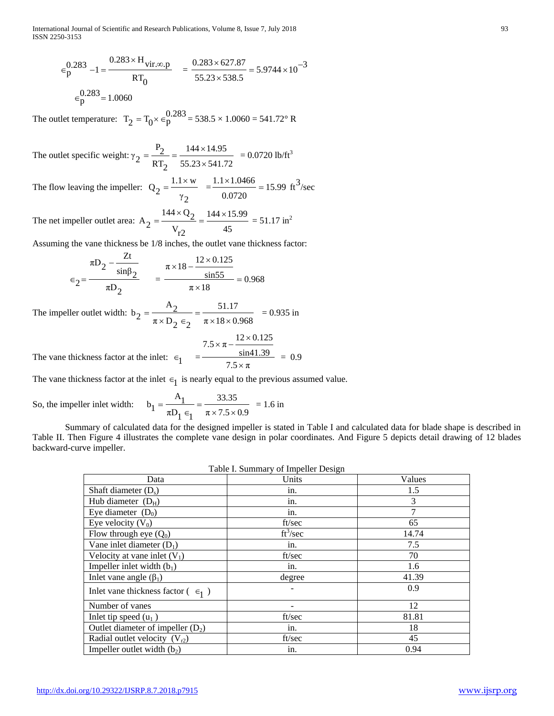International Journal of Scientific and Research Publications, Volume 8, Issue 7, July 2018 93 ISSN 2250-3153

$$
\epsilon_p^{0.283} - 1 = \frac{0.283 \times H_{vir,\infty,p}}{RT_0} = \frac{0.283 \times 627.87}{55.23 \times 538.5} = 5.9744 \times 10^{-3}
$$

$$
\epsilon_p^{0.283} = 1.0060
$$

The outlet temperature:  $T_2 = T_0 \times \epsilon_p^{0.283} = 538.5 \times 1.0060 = 541.72$ ° R

The outlet specific weight:  $55.23 \times 541.72$  $144 \times 14.95$  $RT<sub>2</sub>$  $P_2$  $\gamma_2 = \frac{P_2}{RT_2} = \frac{144 \times 14.95}{55.23 \times 541.72} = 0.0720 \text{ lb/ft}^3$ 

The flow leaving the impeller:  $\gamma_2$  $Q_2 = \frac{1.1 \times w}{\gamma_2} = \frac{1.1 \times 1.0466}{0.0720} = 15.99 \text{ ft}^3/\text{sec}$  $\frac{1.1 \times 1.0466}{ }$  =

The net impeller outlet area: 45  $144 \times 15.99$  $V_{r2}$  $A_2 = \frac{144 \times Q_2}{V} = \frac{144 \times 15.99}{45} = 51.17 \text{ in}^2$ 

Assuming the vane thickness be 1/8 inches, the outlet vane thickness factor:

$$
\epsilon_2 = \frac{\pi D_2 - \frac{Zt}{\sin \beta_2}}{\pi D_2} = \frac{\pi \times 18 - \frac{12 \times 0.125}{\sin 55}}{\pi \times 18} = 0.968
$$

The impeller outlet width:  $\pi \times 18 \times 0.968$ 51.17  $\pi \times D_2 \in_2$  $A_2$  $b_2 = \frac{2}{\pi \times D_2 \epsilon_2} = \frac{2.117}{\pi \times 18 \times 0.968}$  = 0.935 in

The vanev thickness factor at the inlet: 
$$
\epsilon_1 = \frac{7.5 \times \pi - \frac{12 \times 0.125}{\sin 41.39}}{7.5 \times \pi} = 0.9
$$

The vane thickness factor at the inlet  $\epsilon_1$  is nearly equal to the previous assumed value.

So, the impeller inlet width:  $\pi \times 7.5 \times 0.9$ 33.35  $\pi D_1 \in$ <sub>1</sub>  $A_1$  $b_1 = \frac{1}{\pi D_1 \epsilon_1} = \frac{33.33}{\pi \times 7.5 \times 0.9} = 1.6$  in

Summary of calculated data for the designed impeller is stated in Table I and calculated data for blade shape is described in Table II. Then Figure 4 illustrates the complete vane design in polar coordinates. And Figure 5 depicts detail drawing of 12 blades backward-curve impeller.

|                                              | Table I. Summary of imperient besign |        |
|----------------------------------------------|--------------------------------------|--------|
| Data                                         | Units                                | Values |
| Shaft diameter $(D_s)$                       | in.                                  | 1.5    |
| Hub diameter $(D_H)$                         | in.                                  | 3      |
| Eye diameter $(D_0)$                         | in.                                  | 7      |
| Eye velocity $(V_0)$                         | ft/sec                               | 65     |
| Flow through eye $(Q_0)$                     | $ft^3/sec$                           | 14.74  |
| Vane inlet diameter $(D_1)$                  | in.                                  | 7.5    |
| Velocity at vane inlet $(V_1)$               | ft/sec                               | 70     |
| Impeller inlet width $(b_1)$                 | in.                                  | 1.6    |
| Inlet vane angle $(\beta_1)$                 | degree                               | 41.39  |
| Inlet vane thickness factor $( \epsilon_1 )$ |                                      | 0.9    |
| Number of vanes                              |                                      | 12     |
| Inlet tip speed $(u_1)$                      | ft/sec                               | 81.81  |
| Outlet diameter of impeller $(D_2)$          | in.                                  | 18     |
| Radial outlet velocity $(V_{r2})$            | ft/sec                               | 45     |
| Impeller outlet width $(b_2)$                | in.                                  | 0.94   |

 $T = \frac{1}{2}$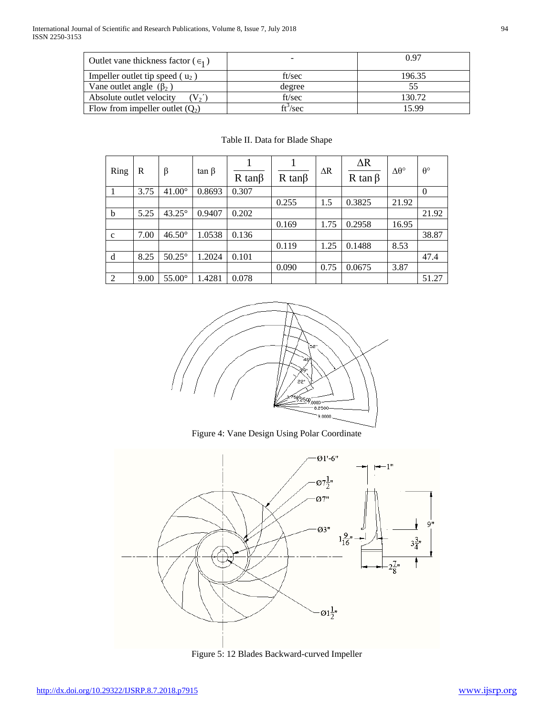| Outlet vane thickness factor ( $\epsilon_1$ ) |                      | 0.97   |
|-----------------------------------------------|----------------------|--------|
| Impeller outlet tip speed $(u_2)$             | ft/sec               | 196.35 |
| Vane outlet angle $(\beta_2)$                 | degree               |        |
| Absolute outlet velocity<br>$\sqrt{V_2}$      | ft/sec               | 130.72 |
| Flow from impeller outlet $(Q_2)$             | ft <sup>3</sup> /sec | 15 99  |

| Ring         | R    | β             | $\tan \beta$ | $R \tan\beta$ | $R \tan\beta$ | $\Delta R$ | $\Delta R$<br>R tan $\beta$ | $\Delta\theta^{\circ}$ | $\theta^{\circ}$ |
|--------------|------|---------------|--------------|---------------|---------------|------------|-----------------------------|------------------------|------------------|
|              | 3.75 | $41.00^\circ$ | 0.8693       | 0.307         |               |            |                             |                        | $\theta$         |
|              |      |               |              |               | 0.255         | 1.5        | 0.3825                      | 21.92                  |                  |
| $\mathbf b$  | 5.25 | $43.25^\circ$ | 0.9407       | 0.202         |               |            |                             |                        | 21.92            |
|              |      |               |              |               | 0.169         | 1.75       | 0.2958                      | 16.95                  |                  |
| $\mathbf{C}$ | 7.00 | $46.50^\circ$ | 1.0538       | 0.136         |               |            |                             |                        | 38.87            |
|              |      |               |              |               | 0.119         | 1.25       | 0.1488                      | 8.53                   |                  |
| d            | 8.25 | $50.25^\circ$ | .2024        | 0.101         |               |            |                             |                        | 47.4             |
|              |      |               |              |               | 0.090         | 0.75       | 0.0675                      | 3.87                   |                  |
| 2            | 9.00 | $55.00^\circ$ | 1.4281       | 0.078         |               |            |                             |                        | 51.27            |

# Table II. Data for Blade Shape



Figure 4: Vane Design Using Polar Coordinate



Figure 5: 12 Blades Backward-curved Impeller